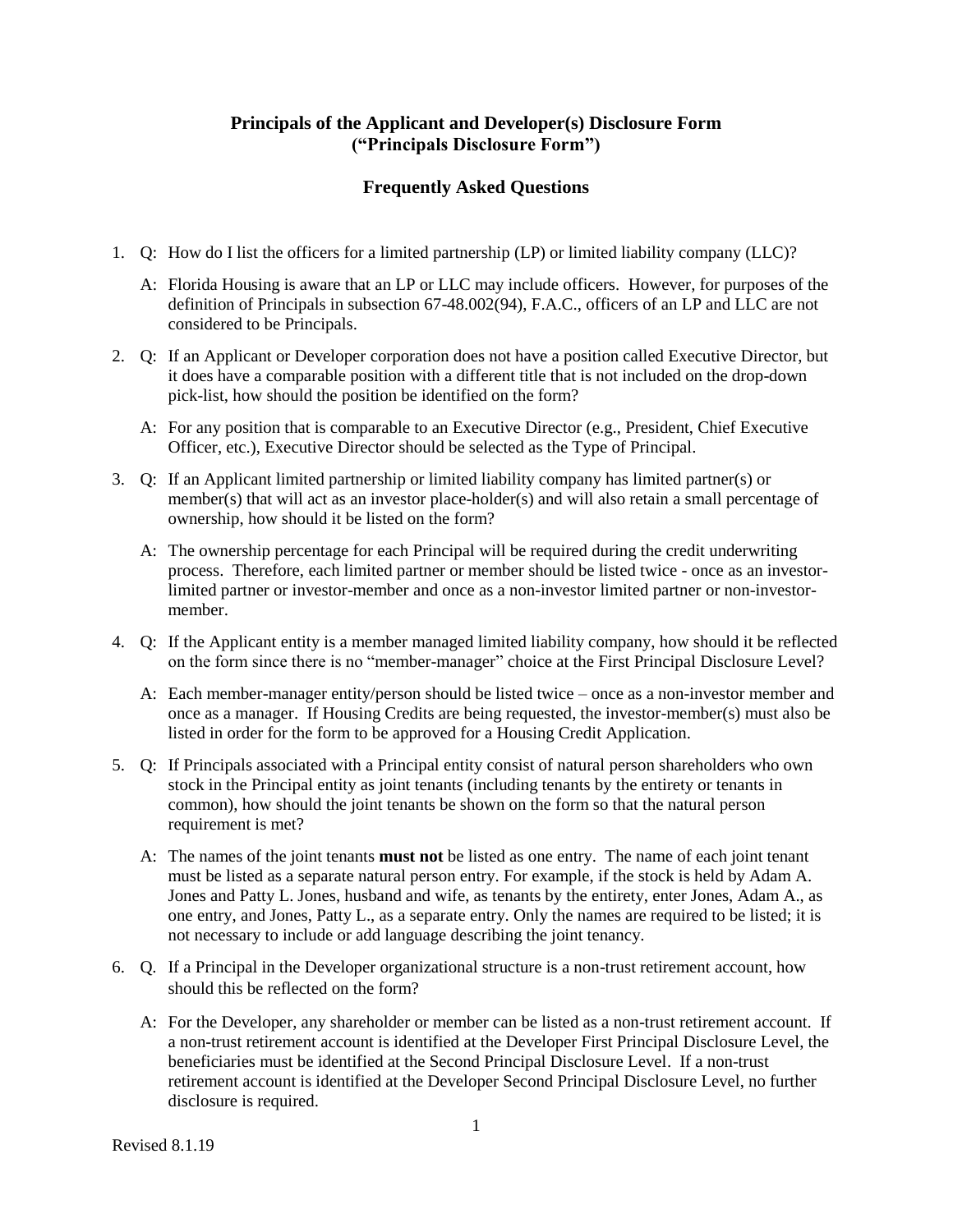## **Principals of the Applicant and Developer(s) Disclosure Form ("Principals Disclosure Form")**

## **Frequently Asked Questions**

- 1. Q: How do I list the officers for a limited partnership (LP) or limited liability company (LLC)?
	- A: Florida Housing is aware that an LP or LLC may include officers. However, for purposes of the definition of Principals in subsection 67-48.002(94), F.A.C., officers of an LP and LLC are not considered to be Principals.
- 2. Q: If an Applicant or Developer corporation does not have a position called Executive Director, but it does have a comparable position with a different title that is not included on the drop-down pick-list, how should the position be identified on the form?
	- A: For any position that is comparable to an Executive Director (e.g., President, Chief Executive Officer, etc.), Executive Director should be selected as the Type of Principal.
- 3. Q: If an Applicant limited partnership or limited liability company has limited partner(s) or member(s) that will act as an investor place-holder(s) and will also retain a small percentage of ownership, how should it be listed on the form?
	- A: The ownership percentage for each Principal will be required during the credit underwriting process. Therefore, each limited partner or member should be listed twice - once as an investorlimited partner or investor-member and once as a non-investor limited partner or non-investormember.
- 4. Q: If the Applicant entity is a member managed limited liability company, how should it be reflected on the form since there is no "member-manager" choice at the First Principal Disclosure Level?
	- A: Each member-manager entity/person should be listed twice once as a non-investor member and once as a manager. If Housing Credits are being requested, the investor-member(s) must also be listed in order for the form to be approved for a Housing Credit Application.
- 5. Q: If Principals associated with a Principal entity consist of natural person shareholders who own stock in the Principal entity as joint tenants (including tenants by the entirety or tenants in common), how should the joint tenants be shown on the form so that the natural person requirement is met?
	- A: The names of the joint tenants **must not** be listed as one entry. The name of each joint tenant must be listed as a separate natural person entry. For example, if the stock is held by Adam A. Jones and Patty L. Jones, husband and wife, as tenants by the entirety, enter Jones, Adam A., as one entry, and Jones, Patty L., as a separate entry. Only the names are required to be listed; it is not necessary to include or add language describing the joint tenancy.
- 6. Q. If a Principal in the Developer organizational structure is a non-trust retirement account, how should this be reflected on the form?
	- A: For the Developer, any shareholder or member can be listed as a non-trust retirement account. If a non-trust retirement account is identified at the Developer First Principal Disclosure Level, the beneficiaries must be identified at the Second Principal Disclosure Level. If a non-trust retirement account is identified at the Developer Second Principal Disclosure Level, no further disclosure is required.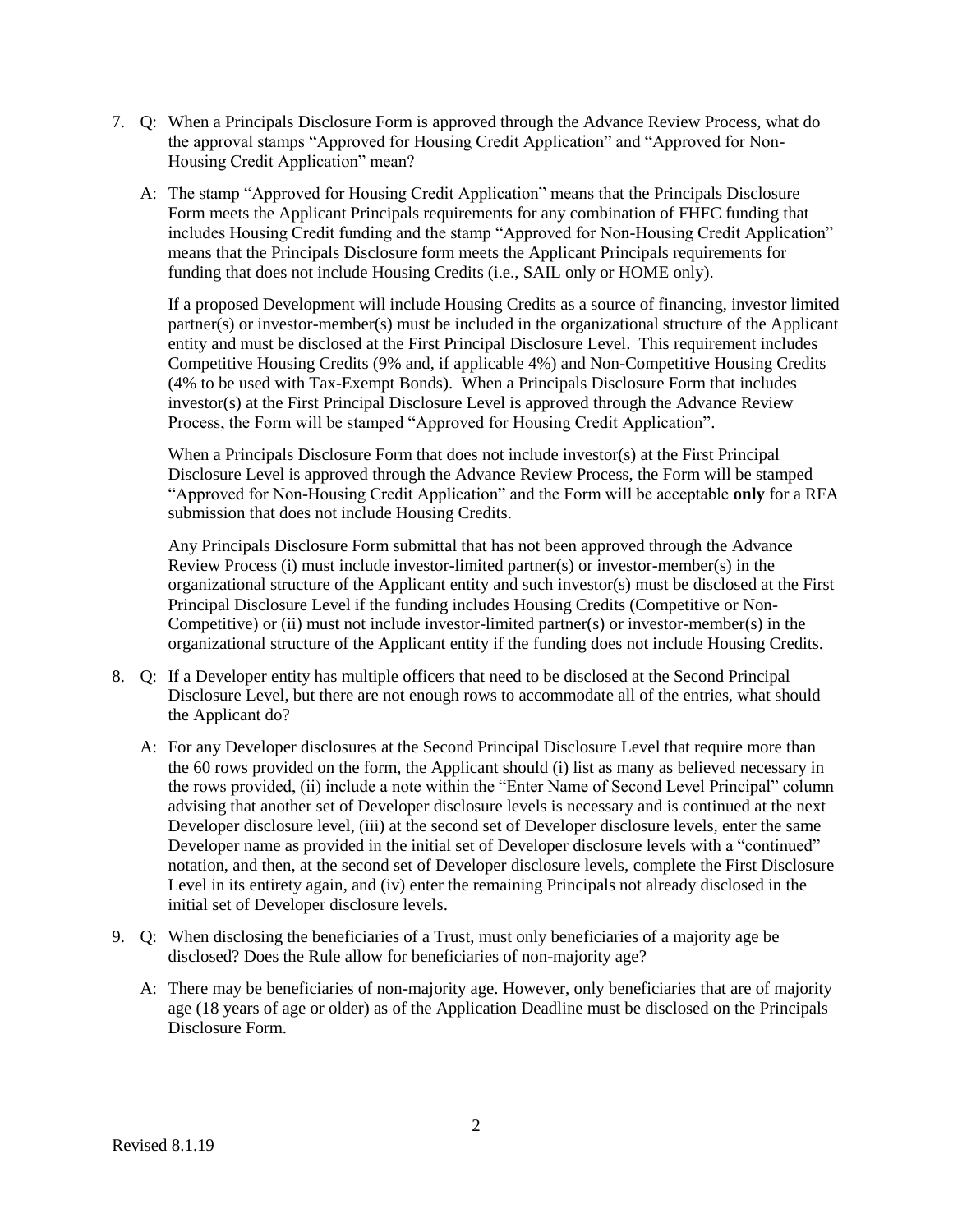- 7. Q: When a Principals Disclosure Form is approved through the Advance Review Process, what do the approval stamps "Approved for Housing Credit Application" and "Approved for Non-Housing Credit Application" mean?
	- A: The stamp "Approved for Housing Credit Application" means that the Principals Disclosure Form meets the Applicant Principals requirements for any combination of FHFC funding that includes Housing Credit funding and the stamp "Approved for Non-Housing Credit Application" means that the Principals Disclosure form meets the Applicant Principals requirements for funding that does not include Housing Credits (i.e., SAIL only or HOME only).

If a proposed Development will include Housing Credits as a source of financing, investor limited partner(s) or investor-member(s) must be included in the organizational structure of the Applicant entity and must be disclosed at the First Principal Disclosure Level. This requirement includes Competitive Housing Credits (9% and, if applicable 4%) and Non-Competitive Housing Credits (4% to be used with Tax-Exempt Bonds). When a Principals Disclosure Form that includes investor(s) at the First Principal Disclosure Level is approved through the Advance Review Process, the Form will be stamped "Approved for Housing Credit Application".

When a Principals Disclosure Form that does not include investor(s) at the First Principal Disclosure Level is approved through the Advance Review Process, the Form will be stamped "Approved for Non-Housing Credit Application" and the Form will be acceptable **only** for a RFA submission that does not include Housing Credits.

Any Principals Disclosure Form submittal that has not been approved through the Advance Review Process (i) must include investor-limited partner(s) or investor-member(s) in the organizational structure of the Applicant entity and such investor(s) must be disclosed at the First Principal Disclosure Level if the funding includes Housing Credits (Competitive or Non-Competitive) or (ii) must not include investor-limited partner(s) or investor-member(s) in the organizational structure of the Applicant entity if the funding does not include Housing Credits.

- 8. Q: If a Developer entity has multiple officers that need to be disclosed at the Second Principal Disclosure Level, but there are not enough rows to accommodate all of the entries, what should the Applicant do?
	- A: For any Developer disclosures at the Second Principal Disclosure Level that require more than the 60 rows provided on the form, the Applicant should (i) list as many as believed necessary in the rows provided, (ii) include a note within the "Enter Name of Second Level Principal" column advising that another set of Developer disclosure levels is necessary and is continued at the next Developer disclosure level, (iii) at the second set of Developer disclosure levels, enter the same Developer name as provided in the initial set of Developer disclosure levels with a "continued" notation, and then, at the second set of Developer disclosure levels, complete the First Disclosure Level in its entirety again, and (iv) enter the remaining Principals not already disclosed in the initial set of Developer disclosure levels.
- 9. Q: When disclosing the beneficiaries of a Trust, must only beneficiaries of a majority age be disclosed? Does the Rule allow for beneficiaries of non-majority age?
	- A: There may be beneficiaries of non-majority age. However, only beneficiaries that are of majority age (18 years of age or older) as of the Application Deadline must be disclosed on the Principals Disclosure Form.